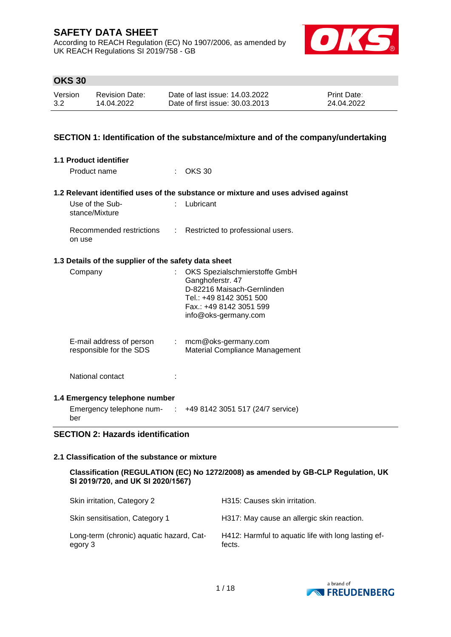According to REACH Regulation (EC) No 1907/2006, as amended by UK REACH Regulations SI 2019/758 - GB



# **OKS 30**

| Version | <b>Revision Date:</b> | Date of last issue: 14.03.2022  | <b>Print Date:</b> |
|---------|-----------------------|---------------------------------|--------------------|
| 3.2     | 14.04.2022            | Date of first issue: 30.03.2013 | 24.04.2022         |

## **SECTION 1: Identification of the substance/mixture and of the company/undertaking**

| 1.1 Product identifier                                                    |    |                                                                                                                                                               |
|---------------------------------------------------------------------------|----|---------------------------------------------------------------------------------------------------------------------------------------------------------------|
| Product name                                                              |    | $\therefore$ OKS 30                                                                                                                                           |
|                                                                           |    | 1.2 Relevant identified uses of the substance or mixture and uses advised against                                                                             |
| Use of the Sub-<br>stance/Mixture                                         |    | Lubricant                                                                                                                                                     |
| on use                                                                    |    | Recommended restrictions : Restricted to professional users.                                                                                                  |
| 1.3 Details of the supplier of the safety data sheet                      |    |                                                                                                                                                               |
| Company                                                                   | ÷. | OKS Spezialschmierstoffe GmbH<br>Ganghoferstr. 47<br>D-82216 Maisach-Gernlinden<br>Tel.: +49 8142 3051 500<br>Fax.: +49 8142 3051 599<br>info@oks-germany.com |
| E-mail address of person : mcm@oks-germany.com<br>responsible for the SDS |    | Material Compliance Management                                                                                                                                |
| National contact                                                          |    |                                                                                                                                                               |
| 1.4 Emergency telephone number                                            |    |                                                                                                                                                               |
| ber                                                                       |    | Emergency telephone num- $\therefore$ +49 8142 3051 517 (24/7 service)                                                                                        |

## **SECTION 2: Hazards identification**

#### **2.1 Classification of the substance or mixture**

**Classification (REGULATION (EC) No 1272/2008) as amended by GB-CLP Regulation, UK SI 2019/720, and UK SI 2020/1567)**

| Skin irritation, Category 2                         | H315: Causes skin irritation.                                 |
|-----------------------------------------------------|---------------------------------------------------------------|
| Skin sensitisation, Category 1                      | H317: May cause an allergic skin reaction.                    |
| Long-term (chronic) aquatic hazard, Cat-<br>egory 3 | H412: Harmful to aquatic life with long lasting ef-<br>fects. |

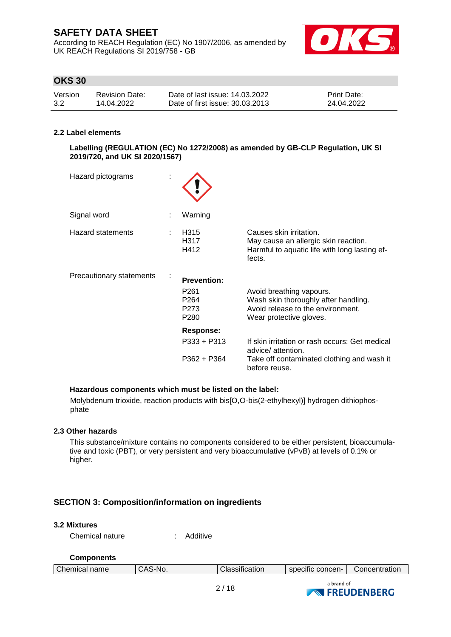According to REACH Regulation (EC) No 1907/2006, as amended by UK REACH Regulations SI 2019/758 - GB



# **OKS 30**

| Version | Revision Date: | Date of last issue: 14.03.2022  | <b>Print Date:</b> |
|---------|----------------|---------------------------------|--------------------|
| 3.2     | 14.04.2022     | Date of first issue: 30.03.2013 | 24.04.2022         |

### **2.2 Label elements**

**Labelling (REGULATION (EC) No 1272/2008) as amended by GB-CLP Regulation, UK SI 2019/720, and UK SI 2020/1567)**

| Hazard pictograms        |                                                                                        |                                                                                                                                     |
|--------------------------|----------------------------------------------------------------------------------------|-------------------------------------------------------------------------------------------------------------------------------------|
| Signal word              | Warning                                                                                |                                                                                                                                     |
| Hazard statements        | H315<br>H317<br>H412                                                                   | Causes skin irritation.<br>May cause an allergic skin reaction.<br>Harmful to aquatic life with long lasting ef-<br>fects.          |
| Precautionary statements | <b>Prevention:</b><br>P <sub>261</sub><br>P <sub>264</sub><br>P273<br>P <sub>280</sub> | Avoid breathing vapours.<br>Wash skin thoroughly after handling.<br>Avoid release to the environment.<br>Wear protective gloves.    |
|                          | <b>Response:</b><br>$P333 + P313$<br>$P362 + P364$                                     | If skin irritation or rash occurs: Get medical<br>advice/ attention.<br>Take off contaminated clothing and wash it<br>before reuse. |

### **Hazardous components which must be listed on the label:**

Molybdenum trioxide, reaction products with bis[O,O-bis(2-ethylhexyl)] hydrogen dithiophosphate

#### **2.3 Other hazards**

This substance/mixture contains no components considered to be either persistent, bioaccumulative and toxic (PBT), or very persistent and very bioaccumulative (vPvB) at levels of 0.1% or higher.

# **SECTION 3: Composition/information on ingredients**

### **3.2 Mixtures**

Chemical nature : Additive

#### **Components**

| Chemical name | ۰Λι<br>٠N٢<br>$\overline{\phantom{a}}$<br>w<br>$\overline{\phantom{a}}$ | sification<br>лаэ. | concen-<br>---------<br>SDECITIC | Concentration |
|---------------|-------------------------------------------------------------------------|--------------------|----------------------------------|---------------|
|               |                                                                         |                    |                                  |               |

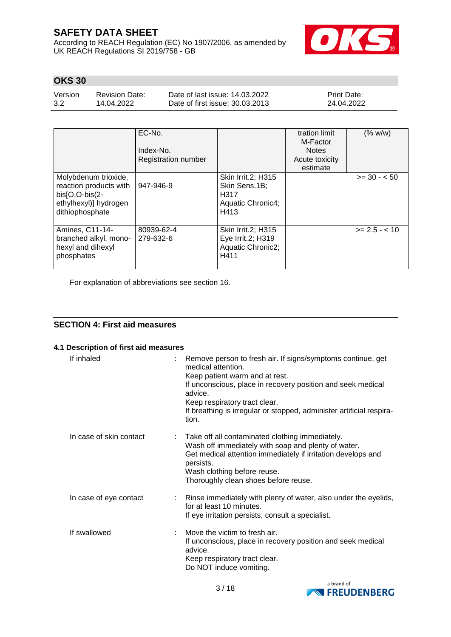According to REACH Regulation (EC) No 1907/2006, as amended by UK REACH Regulations SI 2019/758 - GB



# **OKS 30**

Version 3.2 Revision Date: 14.04.2022

Date of last issue: 14.03.2022 Date of first issue: 30.03.2013 Print Date: 24.04.2022

|                                                                                                                | EC-No.<br>Index-No.<br><b>Registration number</b> |                                                                          | tration limit<br>M-Factor<br><b>Notes</b><br>Acute toxicity<br>estimate | (% w/w)         |
|----------------------------------------------------------------------------------------------------------------|---------------------------------------------------|--------------------------------------------------------------------------|-------------------------------------------------------------------------|-----------------|
| Molybdenum trioxide,<br>reaction products with<br>$bis[O,O-bis(2-$<br>ethylhexyl)] hydrogen<br>dithiophosphate | 947-946-9                                         | Skin Irrit.2; H315<br>Skin Sens.1B;<br>H317<br>Aquatic Chronic4;<br>H413 |                                                                         | $>= 30 - 50$    |
| Amines, C11-14-<br>branched alkyl, mono-<br>hexyl and dihexyl<br>phosphates                                    | 80939-62-4<br>279-632-6                           | Skin Irrit.2; H315<br>Eye Irrit.2; H319<br>Aquatic Chronic2;<br>H411     |                                                                         | $>= 2.5 - < 10$ |

For explanation of abbreviations see section 16.

# **SECTION 4: First aid measures**

# **4.1 Description of first aid measures**

| If inhaled              | Remove person to fresh air. If signs/symptoms continue, get<br>medical attention.<br>Keep patient warm and at rest.<br>If unconscious, place in recovery position and seek medical<br>advice.<br>Keep respiratory tract clear.<br>If breathing is irregular or stopped, administer artificial respira-<br>tion. |
|-------------------------|-----------------------------------------------------------------------------------------------------------------------------------------------------------------------------------------------------------------------------------------------------------------------------------------------------------------|
| In case of skin contact | : Take off all contaminated clothing immediately.<br>Wash off immediately with soap and plenty of water.<br>Get medical attention immediately if irritation develops and<br>persists.<br>Wash clothing before reuse.<br>Thoroughly clean shoes before reuse.                                                    |
| In case of eye contact  | : Rinse immediately with plenty of water, also under the eyelids,<br>for at least 10 minutes.<br>If eye irritation persists, consult a specialist.                                                                                                                                                              |
| If swallowed            | Move the victim to fresh air.<br>If unconscious, place in recovery position and seek medical<br>advice.<br>Keep respiratory tract clear.<br>Do NOT induce vomiting.                                                                                                                                             |

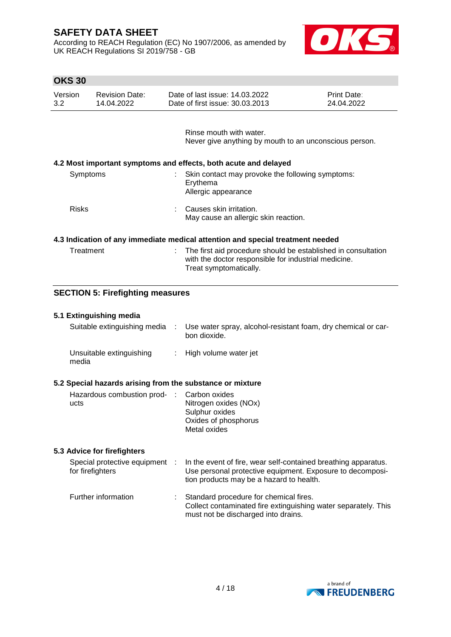According to REACH Regulation (EC) No 1907/2006, as amended by UK REACH Regulations SI 2019/758 - GB



| <b>OKS 30</b> |  |
|---------------|--|
|---------------|--|

| Version | <b>Revision Date:</b> | Date of last issue: 14.03.2022  | <b>Print Date:</b> |
|---------|-----------------------|---------------------------------|--------------------|
| 3.2     | 14.04.2022            | Date of first issue: 30.03.2013 | 24.04.2022         |

Rinse mouth with water. Never give anything by mouth to an unconscious person.

## **4.2 Most important symptoms and effects, both acute and delayed**

| Symptoms     | Skin contact may provoke the following symptoms:<br>Erythema<br>Allergic appearance |  |
|--------------|-------------------------------------------------------------------------------------|--|
| <b>Risks</b> | Causes skin irritation.<br>May cause an allergic skin reaction.                     |  |

#### **4.3 Indication of any immediate medical attention and special treatment needed**

| Treatment | : The first aid procedure should be established in consultation |
|-----------|-----------------------------------------------------------------|
|           | with the doctor responsible for industrial medicine.            |
|           | Treat symptomatically.                                          |

## **SECTION 5: Firefighting measures**

### **5.1 Extinguishing media**

| Suitable extinguishing media      | Use water spray, alcohol-resistant foam, dry chemical or car-<br>bon dioxide. |
|-----------------------------------|-------------------------------------------------------------------------------|
| Unsuitable extinguishing<br>media | : High volume water jet                                                       |

### **5.2 Special hazards arising from the substance or mixture**

| Hazardous combustion prod- : Carbon oxides |                       |
|--------------------------------------------|-----------------------|
| ucts                                       | Nitrogen oxides (NOx) |
|                                            | Sulphur oxides        |
|                                            | Oxides of phosphorus  |
|                                            | Metal oxides          |

## **5.3 Advice for firefighters**

| for firefighters    | Special protective equipment : In the event of fire, wear self-contained breathing apparatus.<br>Use personal protective equipment. Exposure to decomposi-<br>tion products may be a hazard to health. |
|---------------------|--------------------------------------------------------------------------------------------------------------------------------------------------------------------------------------------------------|
| Further information | Standard procedure for chemical fires.<br>Collect contaminated fire extinguishing water separately. This<br>must not be discharged into drains.                                                        |

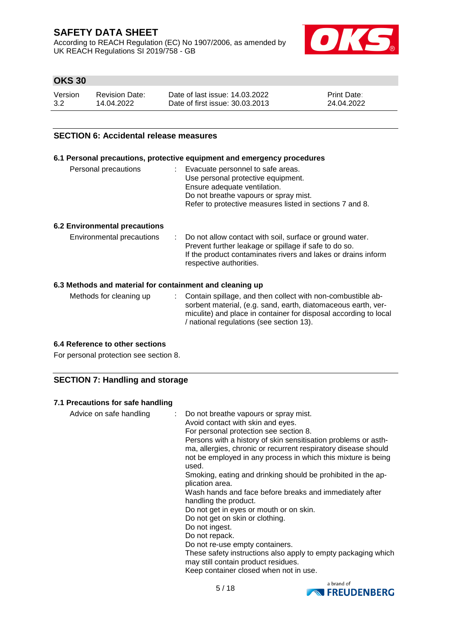According to REACH Regulation (EC) No 1907/2006, as amended by UK REACH Regulations SI 2019/758 - GB



# **OKS 30**

| Version | Revision Date: | Date of last issue: 14.03.2022  | <b>Print Date:</b> |
|---------|----------------|---------------------------------|--------------------|
| 3.2     | 14.04.2022     | Date of first issue: 30.03.2013 | 24.04.2022         |

## **SECTION 6: Accidental release measures**

# **6.1 Personal precautions, protective equipment and emergency procedures**

| Personal precautions | : Evacuate personnel to safe areas.<br>Use personal protective equipment.<br>Ensure adequate ventilation. |
|----------------------|-----------------------------------------------------------------------------------------------------------|
|                      | Do not breathe vapours or spray mist.<br>Refer to protective measures listed in sections 7 and 8.         |
|                      |                                                                                                           |

### **6.2 Environmental precautions**

| Environmental precautions | : Do not allow contact with soil, surface or ground water.<br>Prevent further leakage or spillage if safe to do so. |
|---------------------------|---------------------------------------------------------------------------------------------------------------------|
|                           | If the product contaminates rivers and lakes or drains inform<br>respective authorities.                            |

## **6.3 Methods and material for containment and cleaning up**

| Methods for cleaning up | : Contain spillage, and then collect with non-combustible ab-<br>sorbent material, (e.g. sand, earth, diatomaceous earth, ver- |
|-------------------------|--------------------------------------------------------------------------------------------------------------------------------|
|                         | miculite) and place in container for disposal according to local<br>/ national regulations (see section 13).                   |

#### **6.4 Reference to other sections**

For personal protection see section 8.

## **SECTION 7: Handling and storage**

### **7.1 Precautions for safe handling**

| Advice on safe handling | Do not breathe vapours or spray mist.<br>Avoid contact with skin and eyes.<br>For personal protection see section 8.<br>Persons with a history of skin sensitisation problems or asth-<br>ma, allergies, chronic or recurrent respiratory disease should<br>not be employed in any process in which this mixture is being<br>used.<br>Smoking, eating and drinking should be prohibited in the ap-<br>plication area.<br>Wash hands and face before breaks and immediately after<br>handling the product.<br>Do not get in eyes or mouth or on skin.<br>Do not get on skin or clothing.<br>Do not ingest.<br>Do not repack.<br>Do not re-use empty containers.<br>These safety instructions also apply to empty packaging which<br>may still contain product residues.<br>Keep container closed when not in use. |
|-------------------------|------------------------------------------------------------------------------------------------------------------------------------------------------------------------------------------------------------------------------------------------------------------------------------------------------------------------------------------------------------------------------------------------------------------------------------------------------------------------------------------------------------------------------------------------------------------------------------------------------------------------------------------------------------------------------------------------------------------------------------------------------------------------------------------------------------------|
|-------------------------|------------------------------------------------------------------------------------------------------------------------------------------------------------------------------------------------------------------------------------------------------------------------------------------------------------------------------------------------------------------------------------------------------------------------------------------------------------------------------------------------------------------------------------------------------------------------------------------------------------------------------------------------------------------------------------------------------------------------------------------------------------------------------------------------------------------|

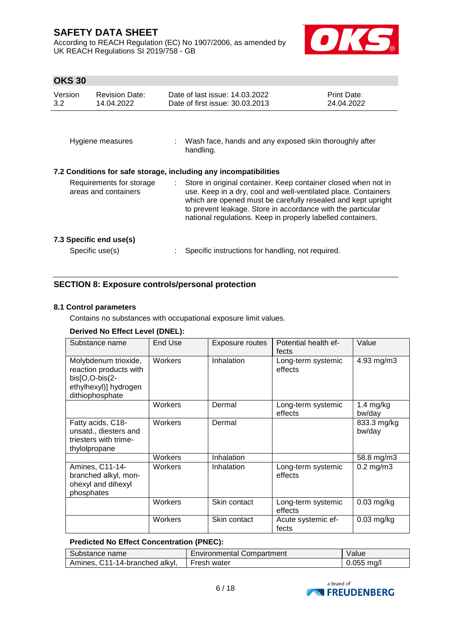According to REACH Regulation (EC) No 1907/2006, as amended by UK REACH Regulations SI 2019/758 - GB



# **OKS 30**

| Version<br>$3.2^{\circ}$ | <b>Revision Date:</b><br>14.04.2022              |    | Date of last issue: 14.03.2022<br>Date of first issue: 30.03.2013                                                                                                                                                                                                                                                              | <b>Print Date:</b><br>24.04.2022 |
|--------------------------|--------------------------------------------------|----|--------------------------------------------------------------------------------------------------------------------------------------------------------------------------------------------------------------------------------------------------------------------------------------------------------------------------------|----------------------------------|
|                          | Hygiene measures                                 |    | : Wash face, hands and any exposed skin thoroughly after<br>handling.                                                                                                                                                                                                                                                          |                                  |
|                          |                                                  |    | 7.2 Conditions for safe storage, including any incompatibilities                                                                                                                                                                                                                                                               |                                  |
|                          | Requirements for storage<br>areas and containers | t. | Store in original container. Keep container closed when not in<br>use. Keep in a dry, cool and well-ventilated place. Containers<br>which are opened must be carefully resealed and kept upright<br>to prevent leakage. Store in accordance with the particular<br>national regulations. Keep in properly labelled containers. |                                  |
|                          | 7.3 Specific end use(s)<br>Specific use(s)       |    | Specific instructions for handling, not required.                                                                                                                                                                                                                                                                              |                                  |

# **SECTION 8: Exposure controls/personal protection**

### **8.1 Control parameters**

Contains no substances with occupational exposure limit values.

# **Derived No Effect Level (DNEL):**

| Substance name                                                                                               | <b>End Use</b> | Exposure routes | Potential health ef-<br>fects | Value                 |
|--------------------------------------------------------------------------------------------------------------|----------------|-----------------|-------------------------------|-----------------------|
| Molybdenum trioxide,<br>reaction products with<br>bis[O,O-bis(2-<br>ethylhexyl)] hydrogen<br>dithiophosphate | Workers        | Inhalation      | Long-term systemic<br>effects | 4.93 mg/m3            |
|                                                                                                              | Workers        | Dermal          | Long-term systemic<br>effects | 1.4 $mg/kg$<br>bw/day |
| Fatty acids, C18-<br>unsatd., diesters and<br>triesters with trime-<br>thylolpropane                         | Workers        | Dermal          |                               | 833.3 mg/kg<br>bw/day |
|                                                                                                              | Workers        | Inhalation      |                               | 58.8 mg/m3            |
| Amines, C11-14-<br>branched alkyl, mon-<br>ohexyl and dihexyl<br>phosphates                                  | Workers        | Inhalation      | Long-term systemic<br>effects | $0.2$ mg/m $3$        |
|                                                                                                              | Workers        | Skin contact    | Long-term systemic<br>effects | $0.03$ mg/kg          |
|                                                                                                              | Workers        | Skin contact    | Acute systemic ef-<br>fects   | $0.03$ mg/kg          |

### **Predicted No Effect Concentration (PNEC):**

| Substance name                 | <b>Environmental Compartment</b> | Value        |
|--------------------------------|----------------------------------|--------------|
| Amines, C11-14-branched alkyl, | Fresh water                      | $0.055$ ma/l |

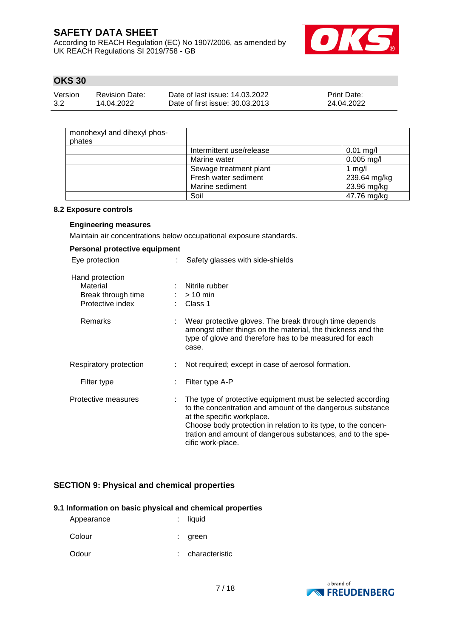According to REACH Regulation (EC) No 1907/2006, as amended by UK REACH Regulations SI 2019/758 - GB



# **OKS 30**

| Version | Revision Date: | Date of last issue: 14.03.2022  | <b>Print Date:</b> |
|---------|----------------|---------------------------------|--------------------|
| 3.2     | 14.04.2022     | Date of first issue: 30.03.2013 | 24.04.2022         |

| monohexyl and dihexyl phos-<br>phates |                          |              |
|---------------------------------------|--------------------------|--------------|
|                                       | Intermittent use/release | $0.01$ mg/l  |
|                                       | Marine water             | $0.005$ mg/l |
|                                       | Sewage treatment plant   | 1 $mg/l$     |
|                                       | Fresh water sediment     | 239.64 mg/kg |
|                                       | Marine sediment          | 23.96 mg/kg  |
|                                       | Soil                     | 47.76 mg/kg  |

#### **8.2 Exposure controls**

## **Engineering measures**

Maintain air concentrations below occupational exposure standards.

| Personal protective equipment                                         |                                                                                                                                                                                                                                                                                                               |
|-----------------------------------------------------------------------|---------------------------------------------------------------------------------------------------------------------------------------------------------------------------------------------------------------------------------------------------------------------------------------------------------------|
| Eye protection                                                        | Safety glasses with side-shields                                                                                                                                                                                                                                                                              |
| Hand protection<br>Material<br>Break through time<br>Protective index | : Nitrile rubber<br>$:$ > 10 min<br>Class 1                                                                                                                                                                                                                                                                   |
| <b>Remarks</b>                                                        | Wear protective gloves. The break through time depends<br>amongst other things on the material, the thickness and the<br>type of glove and therefore has to be measured for each<br>case.                                                                                                                     |
| Respiratory protection                                                | Not required; except in case of aerosol formation.                                                                                                                                                                                                                                                            |
| Filter type                                                           | Filter type A-P                                                                                                                                                                                                                                                                                               |
| Protective measures                                                   | The type of protective equipment must be selected according<br>to the concentration and amount of the dangerous substance<br>at the specific workplace.<br>Choose body protection in relation to its type, to the concen-<br>tration and amount of dangerous substances, and to the spe-<br>cific work-place. |

# **SECTION 9: Physical and chemical properties**

### **9.1 Information on basic physical and chemical properties**

| Appearance | $:$ liquid     |
|------------|----------------|
| Colour     | : green        |
| Odour      | characteristic |

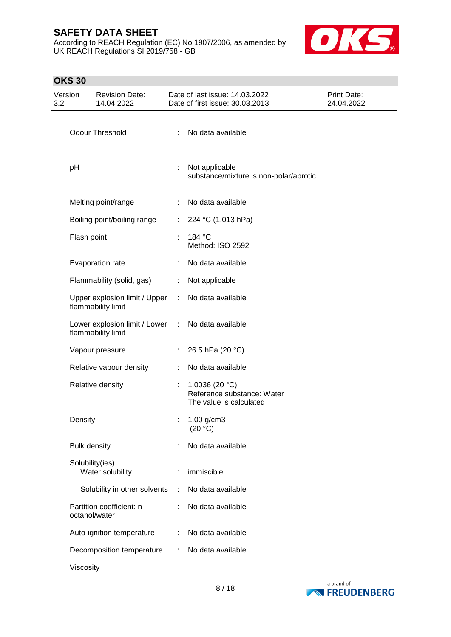According to REACH Regulation (EC) No 1907/2006, as amended by UK REACH Regulations SI 2019/758 - GB



# **OKS 30**

| Version<br>3.2 |                     | <b>Revision Date:</b><br>14.04.2022                 |            | Date of last issue: 14.03.2022<br>Date of first issue: 30.03.2013          | Print Date:<br>24.04.2022 |
|----------------|---------------------|-----------------------------------------------------|------------|----------------------------------------------------------------------------|---------------------------|
|                |                     | Odour Threshold                                     | ÷          | No data available                                                          |                           |
|                | pH                  |                                                     | ÷          | Not applicable<br>substance/mixture is non-polar/aprotic                   |                           |
|                |                     | Melting point/range                                 | ÷          | No data available                                                          |                           |
|                |                     | Boiling point/boiling range                         | ÷          | 224 °C (1,013 hPa)                                                         |                           |
|                | Flash point         |                                                     | $\epsilon$ | 184 °C<br>Method: ISO 2592                                                 |                           |
|                |                     | Evaporation rate                                    | ÷          | No data available                                                          |                           |
|                |                     | Flammability (solid, gas)                           | ÷.         | Not applicable                                                             |                           |
|                |                     | Upper explosion limit / Upper<br>flammability limit |            | : No data available                                                        |                           |
|                |                     | Lower explosion limit / Lower<br>flammability limit | $\sim 10$  | No data available                                                          |                           |
|                |                     | Vapour pressure                                     |            | 26.5 hPa (20 °C)                                                           |                           |
|                |                     | Relative vapour density                             | ÷          | No data available                                                          |                           |
|                |                     | Relative density                                    | ÷          | 1.0036 (20 $°C$ )<br>Reference substance: Water<br>The value is calculated |                           |
|                | Density             |                                                     |            | $1.00$ g/cm3<br>(20 °C)                                                    |                           |
|                | <b>Bulk density</b> |                                                     |            | No data available                                                          |                           |
|                | Solubility(ies)     | Water solubility                                    |            | immiscible                                                                 |                           |
|                |                     | Solubility in other solvents                        | ÷          | No data available                                                          |                           |
|                | octanol/water       | Partition coefficient: n-                           | ÷          | No data available                                                          |                           |
|                |                     | Auto-ignition temperature                           | ÷          | No data available                                                          |                           |
|                |                     | Decomposition temperature                           |            | No data available                                                          |                           |
|                | Viscosity           |                                                     |            |                                                                            |                           |

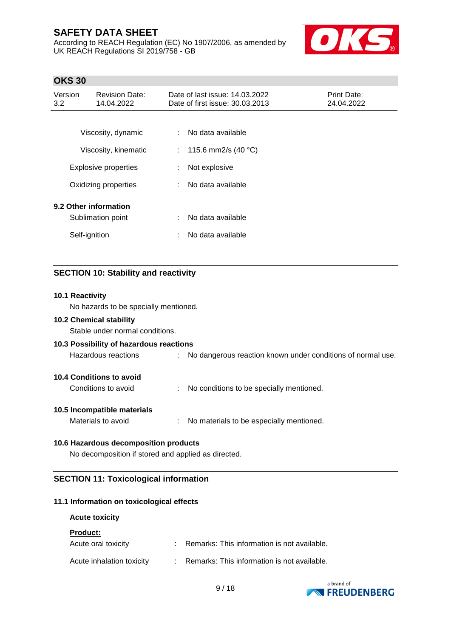According to REACH Regulation (EC) No 1907/2006, as amended by UK REACH Regulations SI 2019/758 - GB



# **OKS 30**

| Version<br>3.2 | <b>Revision Date:</b><br>14.04.2022 |                             | Date of last issue: 14.03.2022<br>Date of first issue: 30.03.2013 | <b>Print Date:</b><br>24.04.2022 |
|----------------|-------------------------------------|-----------------------------|-------------------------------------------------------------------|----------------------------------|
|                |                                     |                             |                                                                   |                                  |
|                | Viscosity, dynamic                  |                             | No data available                                                 |                                  |
|                | Viscosity, kinematic                | $\mathcal{L}^{\mathcal{L}}$ | 115.6 mm2/s $(40 °C)$                                             |                                  |
|                | <b>Explosive properties</b>         | ÷                           | Not explosive                                                     |                                  |
|                | Oxidizing properties                |                             | No data available                                                 |                                  |
|                | 9.2 Other information               |                             |                                                                   |                                  |
|                | Sublimation point                   | ÷                           | No data available                                                 |                                  |
|                | Self-ignition                       | ÷                           | No data available                                                 |                                  |

# **SECTION 10: Stability and reactivity**

#### **10.1 Reactivity**

No hazards to be specially mentioned.

### **10.2 Chemical stability**

Stable under normal conditions.

### **10.3 Possibility of hazardous reactions**

Hazardous reactions : No dangerous reaction known under conditions of normal use.

### **10.4 Conditions to avoid**

Conditions to avoid : No conditions to be specially mentioned.

#### **10.5 Incompatible materials**

Materials to avoid : No materials to be especially mentioned.

### **10.6 Hazardous decomposition products**

No decomposition if stored and applied as directed.

## **SECTION 11: Toxicological information**

### **11.1 Information on toxicological effects**

## **Acute toxicity**

#### **Product:**

| Acute oral toxicity       | Remarks: This information is not available. |
|---------------------------|---------------------------------------------|
| Acute inhalation toxicity | Remarks: This information is not available. |

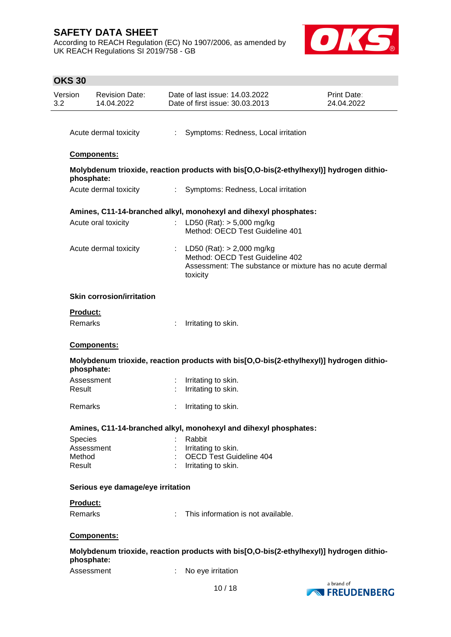According to REACH Regulation (EC) No 1907/2006, as amended by UK REACH Regulations SI 2019/758 - GB



# **OKS 30** Date of last issue: 14.03.2022 Version Revision Date: Print Date: 14.04.2022 Date of first issue: 30.03.2013 24.04.2022 3.2 Acute dermal toxicity : Symptoms: Redness, Local irritation **Components: Molybdenum trioxide, reaction products with bis[O,O-bis(2-ethylhexyl)] hydrogen dithiophosphate:** Acute dermal toxicity : Symptoms: Redness, Local irritation **Amines, C11-14-branched alkyl, monohexyl and dihexyl phosphates:** Acute oral toxicity : LD50 (Rat): > 5,000 mg/kg Method: OECD Test Guideline 401 Acute dermal toxicity : LD50 (Rat): > 2,000 mg/kg Method: OECD Test Guideline 402 Assessment: The substance or mixture has no acute dermal toxicity **Skin corrosion/irritation Product:** Remarks : Irritating to skin. **Components: Molybdenum trioxide, reaction products with bis[O,O-bis(2-ethylhexyl)] hydrogen dithiophosphate:** Assessment : Irritating to skin. Result : Irritating to skin. Remarks : Irritating to skin. **Amines, C11-14-branched alkyl, monohexyl and dihexyl phosphates:** Species : Rabbit Assessment : Irritating to skin. Method : OECD Test Guideline 404 Result : Irritating to skin. **Serious eye damage/eye irritation Product:** Remarks : This information is not available. **Components: Molybdenum trioxide, reaction products with bis[O,O-bis(2-ethylhexyl)] hydrogen dithiophosphate:** Assessment : No eve irritation a brand of 10 / 18 **NEREUDENBERG**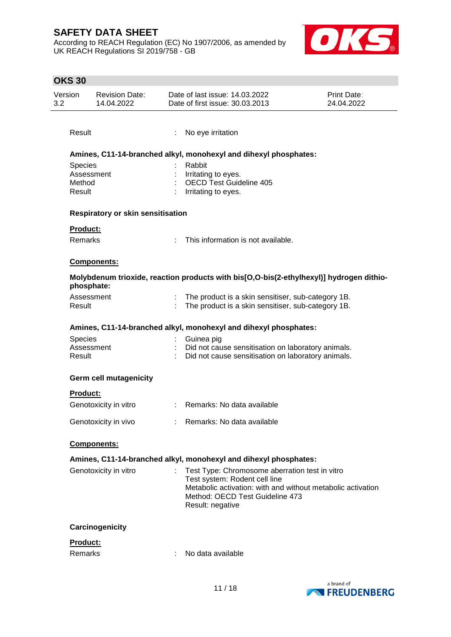According to REACH Regulation (EC) No 1907/2006, as amended by UK REACH Regulations SI 2019/758 - GB



|     | <b>OKS 30</b>        |                                     |    |                                                                                                                                                                                                       |                                  |
|-----|----------------------|-------------------------------------|----|-------------------------------------------------------------------------------------------------------------------------------------------------------------------------------------------------------|----------------------------------|
| 3.2 | Version              | <b>Revision Date:</b><br>14.04.2022 |    | Date of last issue: 14.03.2022<br>Date of first issue: 30.03.2013                                                                                                                                     | <b>Print Date:</b><br>24.04.2022 |
|     | Result               |                                     | ÷. | No eye irritation                                                                                                                                                                                     |                                  |
|     |                      |                                     |    | Amines, C11-14-branched alkyl, monohexyl and dihexyl phosphates:                                                                                                                                      |                                  |
|     | Species              |                                     |    | Rabbit                                                                                                                                                                                                |                                  |
|     | Assessment<br>Method |                                     |    | Irritating to eyes.<br><b>OECD Test Guideline 405</b>                                                                                                                                                 |                                  |
|     | Result               |                                     |    | Irritating to eyes.                                                                                                                                                                                   |                                  |
|     |                      | Respiratory or skin sensitisation   |    |                                                                                                                                                                                                       |                                  |
|     | <b>Product:</b>      |                                     |    |                                                                                                                                                                                                       |                                  |
|     | <b>Remarks</b>       |                                     |    | This information is not available.                                                                                                                                                                    |                                  |
|     |                      | Components:                         |    |                                                                                                                                                                                                       |                                  |
|     | phosphate:           |                                     |    | Molybdenum trioxide, reaction products with bis[O,O-bis(2-ethylhexyl)] hydrogen dithio-                                                                                                               |                                  |
|     | Assessment<br>Result |                                     |    | The product is a skin sensitiser, sub-category 1B.<br>The product is a skin sensitiser, sub-category 1B.                                                                                              |                                  |
|     |                      |                                     |    | Amines, C11-14-branched alkyl, monohexyl and dihexyl phosphates:                                                                                                                                      |                                  |
|     | <b>Species</b>       |                                     |    | Guinea pig                                                                                                                                                                                            |                                  |
|     | Assessment<br>Result |                                     |    | Did not cause sensitisation on laboratory animals.<br>Did not cause sensitisation on laboratory animals.                                                                                              |                                  |
|     |                      | <b>Germ cell mutagenicity</b>       |    |                                                                                                                                                                                                       |                                  |
|     | <b>Product:</b>      |                                     |    |                                                                                                                                                                                                       |                                  |
|     |                      | Genotoxicity in vitro               |    | : Remarks: No data available                                                                                                                                                                          |                                  |
|     |                      | Genotoxicity in vivo                |    | : Remarks: No data available                                                                                                                                                                          |                                  |
|     |                      | <b>Components:</b>                  |    |                                                                                                                                                                                                       |                                  |
|     |                      |                                     |    | Amines, C11-14-branched alkyl, monohexyl and dihexyl phosphates:                                                                                                                                      |                                  |
|     |                      | Genotoxicity in vitro               |    | Test Type: Chromosome aberration test in vitro<br>Test system: Rodent cell line<br>Metabolic activation: with and without metabolic activation<br>Method: OECD Test Guideline 473<br>Result: negative |                                  |
|     |                      | Carcinogenicity                     |    |                                                                                                                                                                                                       |                                  |
|     | <b>Product:</b>      |                                     |    |                                                                                                                                                                                                       |                                  |
|     | <b>Remarks</b>       |                                     |    | No data available                                                                                                                                                                                     |                                  |

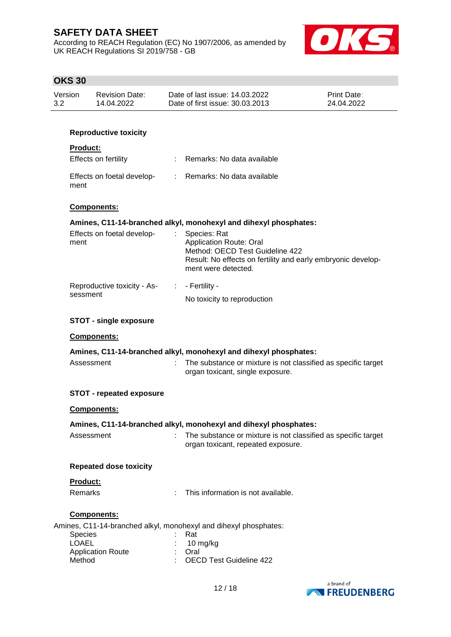According to REACH Regulation (EC) No 1907/2006, as amended by UK REACH Regulations SI 2019/758 - GB



# **OKS 30**

| Version | <b>Revision Date:</b> | Date of last issue: 14.03.2022  | Print Date: |
|---------|-----------------------|---------------------------------|-------------|
| -3.2    | 14.04.2022            | Date of first issue: 30.03.2013 | 24.04.2022  |
|         |                       |                                 |             |

## **Reproductive toxicity**

## **Product:**

| Effects on fertility               | : Remarks: No data available |
|------------------------------------|------------------------------|
| Effects on foetal develop-<br>ment | : Remarks: No data available |

#### **Components:**

## **Amines, C11-14-branched alkyl, monohexyl and dihexyl phosphates:**

| Effects on foetal develop-<br>ment          | Species: Rat<br>Application Route: Oral<br>Method: OECD Test Guideline 422<br>Result: No effects on fertility and early embryonic develop-<br>ment were detected. |
|---------------------------------------------|-------------------------------------------------------------------------------------------------------------------------------------------------------------------|
| Reproductive toxicity - As- : - Fertility - |                                                                                                                                                                   |
| sessment                                    | No toxicity to reproduction                                                                                                                                       |

#### **STOT - single exposure**

#### **Components:**

|                                 | Amines, C11-14-branched alkyl, monohexyl and dihexyl phosphates:                                    |
|---------------------------------|-----------------------------------------------------------------------------------------------------|
| Assessment                      | : The substance or mixture is not classified as specific target<br>organ toxicant, single exposure. |
| <b>STOT - repeated exposure</b> |                                                                                                     |
| $\sim$ $\sim$ $\sim$            |                                                                                                     |

# **Components:**

### **Amines, C11-14-branched alkyl, monohexyl and dihexyl phosphates:**

| Assessment | The substance or mixture is not classified as specific target |
|------------|---------------------------------------------------------------|
|            | organ toxicant, repeated exposure.                            |

#### **Repeated dose toxicity**

#### **Product:**

Remarks : This information is not available.

### **Components:**

Amines, C11-14-branched alkyl, monohexyl and dihexyl phosphates:

| Species                  | ∴ Rat                     |
|--------------------------|---------------------------|
| LOAEL                    | $: 10 \text{ m}$ g/kg     |
| <b>Application Route</b> | : Oral                    |
| Method                   | : OECD Test Guideline 422 |
|                          |                           |

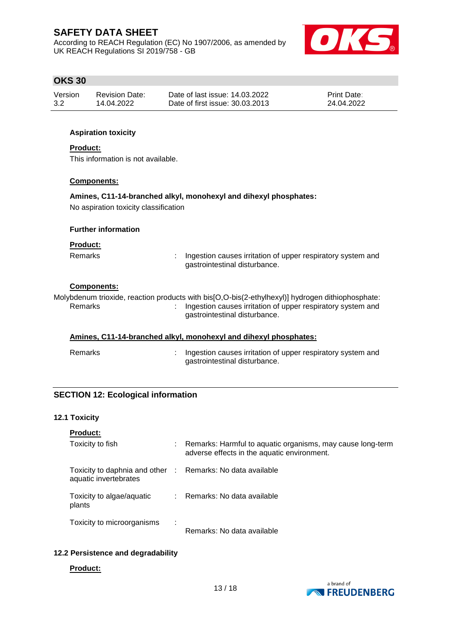According to REACH Regulation (EC) No 1907/2006, as amended by UK REACH Regulations SI 2019/758 - GB



# **OKS 30**

| Version | <b>Revision Date:</b> | Date of last issue: 14.03.2022  | <b>Print Date:</b> |
|---------|-----------------------|---------------------------------|--------------------|
| 3.2     | 14.04.2022            | Date of first issue: 30.03.2013 | 24.04.2022         |

### **Aspiration toxicity**

#### **Product:**

This information is not available.

#### **Components:**

#### **Amines, C11-14-branched alkyl, monohexyl and dihexyl phosphates:**

No aspiration toxicity classification

### **Further information**

#### **Product:**

Remarks : Ingestion causes irritation of upper respiratory system and gastrointestinal disturbance.

#### **Components:**

Molybdenum trioxide, reaction products with bis[O,O-bis(2-ethylhexyl)] hydrogen dithiophosphate: Remarks : Ingestion causes irritation of upper respiratory system and gastrointestinal disturbance.

### **Amines, C11-14-branched alkyl, monohexyl and dihexyl phosphates:**

Remarks : Ingestion causes irritation of upper respiratory system and gastrointestinal disturbance.

### **SECTION 12: Ecological information**

### **12.1 Toxicity**

| <b>Product:</b>                                                                     |   |                                                                                                           |
|-------------------------------------------------------------------------------------|---|-----------------------------------------------------------------------------------------------------------|
| Toxicity to fish                                                                    |   | Remarks: Harmful to aquatic organisms, may cause long-term<br>adverse effects in the aquatic environment. |
| Toxicity to daphnia and other : Remarks: No data available<br>aquatic invertebrates |   |                                                                                                           |
| Toxicity to algae/aquatic<br>plants                                                 |   | : Remarks: No data available                                                                              |
| Toxicity to microorganisms                                                          | ÷ | Remarks: No data available                                                                                |

## **12.2 Persistence and degradability**

#### **Product:**

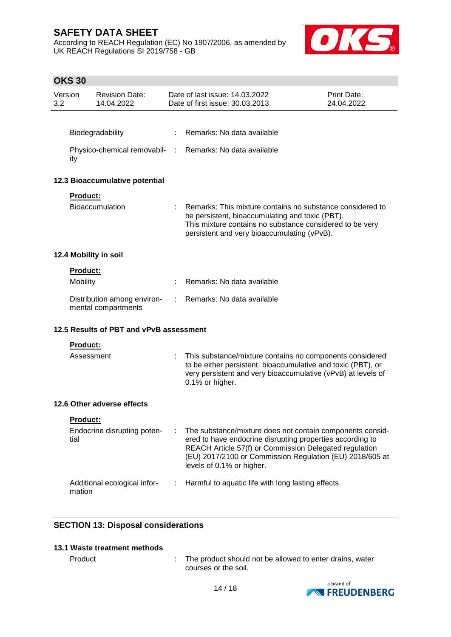According to REACH Regulation (EC) No 1907/2006, as amended by UK REACH Regulations SI 2019/758 - GB



# **OKS 30**

| Version<br>3.2 |                 | <b>Revision Date:</b><br>14.04.2022                |    | Date of last issue: 14.03.2022<br>Date of first issue: 30.03.2013                                                                                                                                                                                                         | Print Date:<br>24.04.2022 |
|----------------|-----------------|----------------------------------------------------|----|---------------------------------------------------------------------------------------------------------------------------------------------------------------------------------------------------------------------------------------------------------------------------|---------------------------|
|                |                 |                                                    |    |                                                                                                                                                                                                                                                                           |                           |
|                |                 | Biodegradability                                   |    | Remarks: No data available                                                                                                                                                                                                                                                |                           |
|                | ity             | Physico-chemical removabil- :                      |    | Remarks: No data available                                                                                                                                                                                                                                                |                           |
|                |                 | 12.3 Bioaccumulative potential                     |    |                                                                                                                                                                                                                                                                           |                           |
|                | Product:        |                                                    |    |                                                                                                                                                                                                                                                                           |                           |
|                |                 | <b>Bioaccumulation</b>                             |    | Remarks: This mixture contains no substance considered to<br>be persistent, bioaccumulating and toxic (PBT).<br>This mixture contains no substance considered to be very<br>persistent and very bioaccumulating (vPvB).                                                   |                           |
|                |                 | 12.4 Mobility in soil                              |    |                                                                                                                                                                                                                                                                           |                           |
|                | Product:        |                                                    |    |                                                                                                                                                                                                                                                                           |                           |
|                | Mobility        |                                                    |    | Remarks: No data available                                                                                                                                                                                                                                                |                           |
|                |                 | Distribution among environ-<br>mental compartments | ÷. | Remarks: No data available                                                                                                                                                                                                                                                |                           |
|                |                 | 12.5 Results of PBT and vPvB assessment            |    |                                                                                                                                                                                                                                                                           |                           |
|                | Product:        |                                                    |    |                                                                                                                                                                                                                                                                           |                           |
|                | Assessment      |                                                    |    | This substance/mixture contains no components considered<br>to be either persistent, bioaccumulative and toxic (PBT), or<br>very persistent and very bioaccumulative (vPvB) at levels of<br>0.1% or higher.                                                               |                           |
|                |                 | 12.6 Other adverse effects                         |    |                                                                                                                                                                                                                                                                           |                           |
|                | <b>Product:</b> |                                                    |    |                                                                                                                                                                                                                                                                           |                           |
|                | tial            | Endocrine disrupting poten-                        |    | The substance/mixture does not contain components consid-<br>ered to have endocrine disrupting properties according to<br>REACH Article 57(f) or Commission Delegated regulation<br>(EU) 2017/2100 or Commission Regulation (EU) 2018/605 at<br>levels of 0.1% or higher. |                           |
|                | mation          | Additional ecological infor-                       |    | Harmful to aquatic life with long lasting effects.                                                                                                                                                                                                                        |                           |

# **SECTION 13: Disposal considerations**

## **13.1 Waste treatment methods**

Product : The product should not be allowed to enter drains, water courses or the soil.

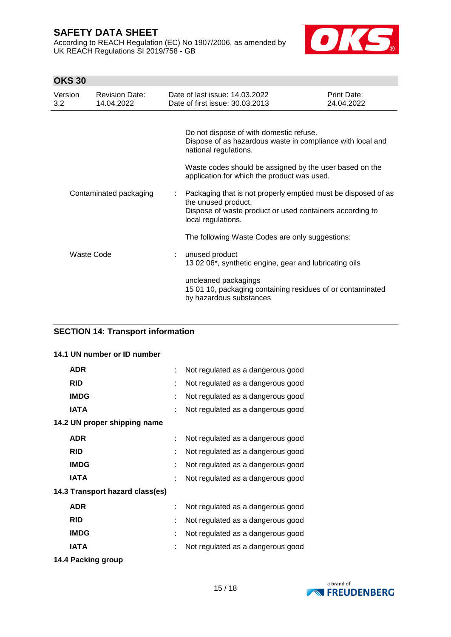According to REACH Regulation (EC) No 1907/2006, as amended by UK REACH Regulations SI 2019/758 - GB



# **OKS 30**

| Version<br>3.2 | <b>Revision Date:</b><br>14.04.2022 | Date of last issue: 14.03.2022<br>Date of first issue: 30.03.2013                                                                                                      | Print Date:<br>24.04.2022 |
|----------------|-------------------------------------|------------------------------------------------------------------------------------------------------------------------------------------------------------------------|---------------------------|
|                |                                     |                                                                                                                                                                        |                           |
|                |                                     | Do not dispose of with domestic refuse.<br>Dispose of as hazardous waste in compliance with local and<br>national regulations.                                         |                           |
|                |                                     | Waste codes should be assigned by the user based on the<br>application for which the product was used.                                                                 |                           |
|                | Contaminated packaging              | Packaging that is not properly emptied must be disposed of as<br>the unused product.<br>Dispose of waste product or used containers according to<br>local regulations. |                           |
|                |                                     | The following Waste Codes are only suggestions:                                                                                                                        |                           |
|                | Waste Code                          | unused product<br>13 02 06*, synthetic engine, gear and lubricating oils                                                                                               |                           |
|                |                                     | uncleaned packagings<br>15 01 10, packaging containing residues of or contaminated<br>by hazardous substances                                                          |                           |

# **SECTION 14: Transport information**

## **14.1 UN number or ID number**

|   | Not regulated as a dangerous good |
|---|-----------------------------------|
| t | Not regulated as a dangerous good |
| ÷ | Not regulated as a dangerous good |
| t | Not regulated as a dangerous good |
|   |                                   |
|   | Not regulated as a dangerous good |
| t | Not regulated as a dangerous good |
| t | Not regulated as a dangerous good |
|   | Not regulated as a dangerous good |
|   |                                   |
| ÷ | Not regulated as a dangerous good |
| t | Not regulated as a dangerous good |
|   | Not regulated as a dangerous good |
|   | Not regulated as a dangerous good |
|   |                                   |

**14.4 Packing group**

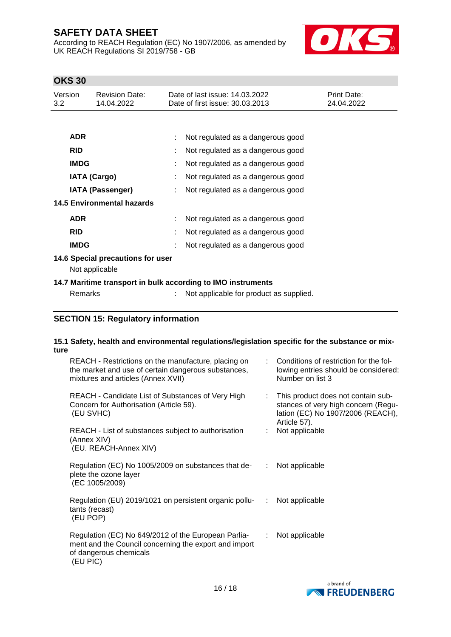According to REACH Regulation (EC) No 1907/2006, as amended by UK REACH Regulations SI 2019/758 - GB



# **OKS 30**

| Version<br>3.2          | <b>Revision Date:</b><br>14.04.2022 | Date of last issue: 14.03.2022<br>Date of first issue: 30.03.2013 | Print Date:<br>24.04.2022 |
|-------------------------|-------------------------------------|-------------------------------------------------------------------|---------------------------|
|                         |                                     |                                                                   |                           |
| <b>ADR</b>              |                                     | Not regulated as a dangerous good                                 |                           |
| <b>RID</b>              |                                     | Not regulated as a dangerous good                                 |                           |
|                         | <b>IMDG</b>                         | Not regulated as a dangerous good                                 |                           |
|                         | <b>IATA (Cargo)</b>                 | Not regulated as a dangerous good                                 |                           |
| <b>IATA (Passenger)</b> |                                     | Not regulated as a dangerous good                                 |                           |
|                         | <b>14.5 Environmental hazards</b>   |                                                                   |                           |
| <b>ADR</b>              |                                     | Not regulated as a dangerous good                                 |                           |
| <b>RID</b>              |                                     | Not regulated as a dangerous good                                 |                           |
|                         | <b>IMDG</b>                         | Not regulated as a dangerous good                                 |                           |
|                         | 14.6 Special precautions for user   |                                                                   |                           |
|                         | Not applicable                      |                                                                   |                           |
|                         |                                     | 14.7 Maritime transport in bulk according to IMO instruments      |                           |
|                         | <b>Remarks</b>                      | Not applicable for product as supplied.                           |                           |

# **SECTION 15: Regulatory information**

#### **15.1 Safety, health and environmental regulations/legislation specific for the substance or mixture**

| REACH - Restrictions on the manufacture, placing on<br>the market and use of certain dangerous substances,<br>mixtures and articles (Annex XVII)   |                             | Conditions of restriction for the fol-<br>lowing entries should be considered:<br>Number on list 3                             |
|----------------------------------------------------------------------------------------------------------------------------------------------------|-----------------------------|--------------------------------------------------------------------------------------------------------------------------------|
| REACH - Candidate List of Substances of Very High<br>Concern for Authorisation (Article 59).<br>(EU SVHC)                                          |                             | This product does not contain sub-<br>stances of very high concern (Regu-<br>lation (EC) No 1907/2006 (REACH),<br>Article 57). |
| REACH - List of substances subject to authorisation<br>(Annex XIV)<br>(EU. REACH-Annex XIV)                                                        |                             | Not applicable                                                                                                                 |
| Regulation (EC) No 1005/2009 on substances that de-<br>plete the ozone layer<br>(EC 1005/2009)                                                     | $\mathcal{L}^{\mathcal{L}}$ | Not applicable                                                                                                                 |
| Regulation (EU) 2019/1021 on persistent organic pollu-<br>tants (recast)<br>(EU POP)                                                               | $\cdot$ :                   | Not applicable                                                                                                                 |
| Regulation (EC) No 649/2012 of the European Parlia-<br>ment and the Council concerning the export and import<br>of dangerous chemicals<br>(EU PIC) | ÷                           | Not applicable                                                                                                                 |

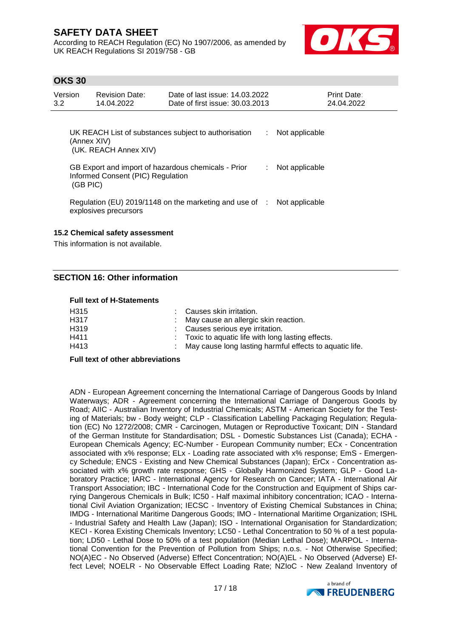According to REACH Regulation (EC) No 1907/2006, as amended by UK REACH Regulations SI 2019/758 - GB



## **OKS 30**

| Version<br>$3.2^{\circ}$ | <b>Revision Date:</b><br>14.04.2022                                                                  | Date of last issue 14.03.2022<br>Date of first issue: 30.03.2013   |    | Print Date:<br>24.04.2022 |
|--------------------------|------------------------------------------------------------------------------------------------------|--------------------------------------------------------------------|----|---------------------------|
|                          | (Annex XIV)<br>(UK. REACH Annex XIV)                                                                 | UK REACH List of substances subject to authorisation               | ÷. | Not applicable            |
|                          | GB Export and import of hazardous chemicals - Prior<br>Informed Consent (PIC) Regulation<br>(GB PIC) |                                                                    | ÷. | Not applicable            |
|                          | explosives precursors                                                                                | Regulation (EU) 2019/1148 on the marketing and use of $\therefore$ |    | Not applicable            |
|                          | 15.2 Chemical safety assessment                                                                      |                                                                    |    |                           |

This information is not available.

# **SECTION 16: Other information**

#### **Full text of H-Statements**

| H315 | : Causes skin irritation.                                 |
|------|-----------------------------------------------------------|
| H317 | : May cause an allergic skin reaction.                    |
| H319 | : Causes serious eye irritation.                          |
| H411 | : Toxic to aquatic life with long lasting effects.        |
| H413 | : May cause long lasting harmful effects to aquatic life. |
|      |                                                           |

#### **Full text of other abbreviations**

ADN - European Agreement concerning the International Carriage of Dangerous Goods by Inland Waterways; ADR - Agreement concerning the International Carriage of Dangerous Goods by Road; AIIC - Australian Inventory of Industrial Chemicals; ASTM - American Society for the Testing of Materials; bw - Body weight; CLP - Classification Labelling Packaging Regulation; Regulation (EC) No 1272/2008; CMR - Carcinogen, Mutagen or Reproductive Toxicant; DIN - Standard of the German Institute for Standardisation; DSL - Domestic Substances List (Canada); ECHA - European Chemicals Agency; EC-Number - European Community number; ECx - Concentration associated with x% response; ELx - Loading rate associated with x% response; EmS - Emergency Schedule; ENCS - Existing and New Chemical Substances (Japan); ErCx - Concentration associated with x% growth rate response; GHS - Globally Harmonized System; GLP - Good Laboratory Practice; IARC - International Agency for Research on Cancer; IATA - International Air Transport Association; IBC - International Code for the Construction and Equipment of Ships carrying Dangerous Chemicals in Bulk; IC50 - Half maximal inhibitory concentration; ICAO - International Civil Aviation Organization; IECSC - Inventory of Existing Chemical Substances in China; IMDG - International Maritime Dangerous Goods; IMO - International Maritime Organization; ISHL - Industrial Safety and Health Law (Japan); ISO - International Organisation for Standardization; KECI - Korea Existing Chemicals Inventory; LC50 - Lethal Concentration to 50 % of a test population; LD50 - Lethal Dose to 50% of a test population (Median Lethal Dose); MARPOL - International Convention for the Prevention of Pollution from Ships; n.o.s. - Not Otherwise Specified; NO(A)EC - No Observed (Adverse) Effect Concentration; NO(A)EL - No Observed (Adverse) Effect Level; NOELR - No Observable Effect Loading Rate; NZIoC - New Zealand Inventory of